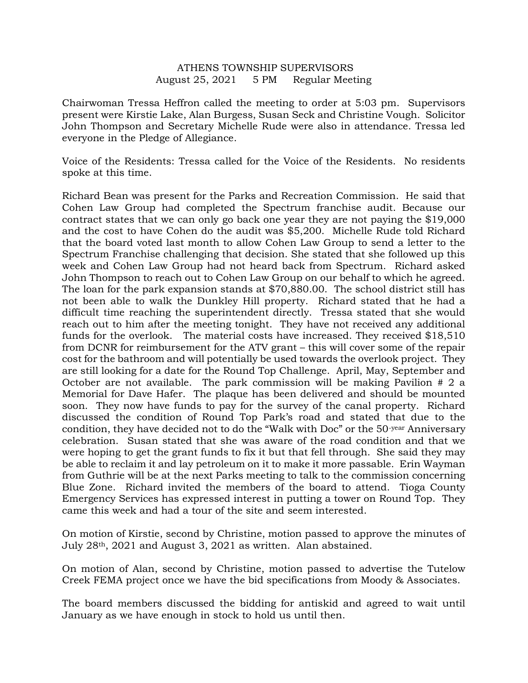## ATHENS TOWNSHIP SUPERVISORS August 25, 2021 5 PM Regular Meeting

Chairwoman Tressa Heffron called the meeting to order at 5:03 pm. Supervisors present were Kirstie Lake, Alan Burgess, Susan Seck and Christine Vough. Solicitor John Thompson and Secretary Michelle Rude were also in attendance. Tressa led everyone in the Pledge of Allegiance.

Voice of the Residents: Tressa called for the Voice of the Residents. No residents spoke at this time.

Richard Bean was present for the Parks and Recreation Commission. He said that Cohen Law Group had completed the Spectrum franchise audit. Because our contract states that we can only go back one year they are not paying the \$19,000 and the cost to have Cohen do the audit was \$5,200. Michelle Rude told Richard that the board voted last month to allow Cohen Law Group to send a letter to the Spectrum Franchise challenging that decision. She stated that she followed up this week and Cohen Law Group had not heard back from Spectrum. Richard asked John Thompson to reach out to Cohen Law Group on our behalf to which he agreed. The loan for the park expansion stands at \$70,880.00. The school district still has not been able to walk the Dunkley Hill property. Richard stated that he had a difficult time reaching the superintendent directly. Tressa stated that she would reach out to him after the meeting tonight. They have not received any additional funds for the overlook. The material costs have increased. They received \$18,510 from DCNR for reimbursement for the ATV grant – this will cover some of the repair cost for the bathroom and will potentially be used towards the overlook project. They are still looking for a date for the Round Top Challenge. April, May, September and October are not available. The park commission will be making Pavilion # 2 a Memorial for Dave Hafer. The plaque has been delivered and should be mounted soon. They now have funds to pay for the survey of the canal property. Richard discussed the condition of Round Top Park's road and stated that due to the condition, they have decided not to do the "Walk with Doc" or the 50-year Anniversary celebration. Susan stated that she was aware of the road condition and that we were hoping to get the grant funds to fix it but that fell through. She said they may be able to reclaim it and lay petroleum on it to make it more passable. Erin Wayman from Guthrie will be at the next Parks meeting to talk to the commission concerning Blue Zone. Richard invited the members of the board to attend. Tioga County Emergency Services has expressed interest in putting a tower on Round Top. They came this week and had a tour of the site and seem interested.

On motion of Kirstie, second by Christine, motion passed to approve the minutes of July 28th, 2021 and August 3, 2021 as written. Alan abstained.

On motion of Alan, second by Christine, motion passed to advertise the Tutelow Creek FEMA project once we have the bid specifications from Moody & Associates.

The board members discussed the bidding for antiskid and agreed to wait until January as we have enough in stock to hold us until then.